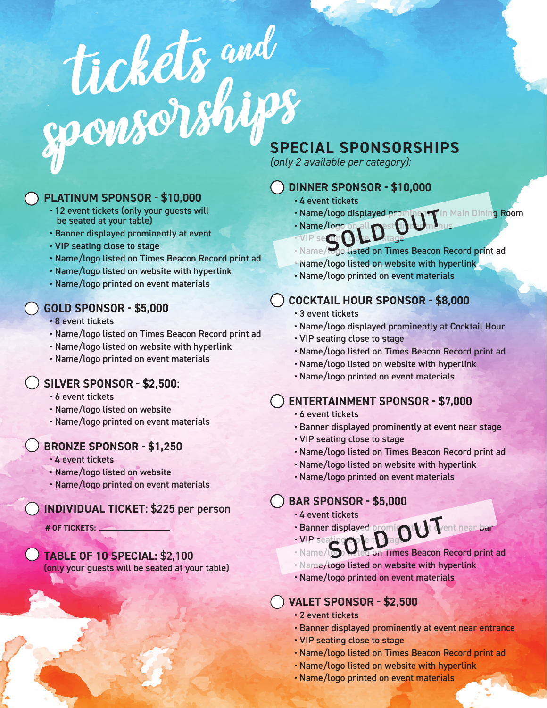# tickets and sponsorships

#### **PLATINUM SPONSOR - \$10,000**

- 12 event tickets (only your guests will be seated at your table)
- Banner displayed prominently at event
- VIP seating close to stage
- Name/logo listed on Times Beacon Record print ad
- Name/logo listed on website with hyperlink
- Name/logo printed on event materials

#### **GOLD SPONSOR - \$5,000**

• 8 event tickets

- Name/logo listed on Times Beacon Record print ad
- Name/logo listed on website with hyperlink
- Name/logo printed on event materials

#### **SILVER SPONSOR - \$2,500**:

- 6 event tickets
- Name/logo listed on website
- Name/logo printed on event materials

#### **BRONZE SPONSOR - \$1,250**

- 4 event tickets
- Name/logo listed on website
- Name/logo printed on event materials

#### **INDIVIDUAL TICKET:** \$225 per person

**# OF TICKETS:**

**TABLE OF 10 SPECIAL:** \$2,100 (only your guests will be seated at your table)

### **SPECIAL SPONSORSHIPS**

*(only 2 available per category):*

#### **DINNER SPONSOR - \$10,000**

- 4 event tickets
- Name/logo displayed prominent in Main Dining Room
- Name/logo • VIP secundo
- Name/logo displayed prominent in Main Dining R<br>• VIP second to Latage<br>• Name/logo listed on Times Beacon Record print ad
- Name/logo listed on website with hyperlink
- Name/logo printed on event materials

#### **COCKTAIL HOUR SPONSOR - \$8,000**

- 3 event tickets
- Name/logo displayed prominently at Cocktail Hour
- VIP seating close to stage
- Name/logo listed on Times Beacon Record print ad
- Name/logo listed on website with hyperlink
- Name/logo printed on event materials

#### **ENTERTAINMENT SPONSOR - \$7,000**

- 6 event tickets
- Banner displayed prominently at event near stage
- VIP seating close to stage
- Name/logo listed on Times Beacon Record print ad
- Name/logo listed on website with hyperlink
- Name/logo printed on event materials

#### **BAR SPONSOR - \$5,000**

- 4 event tickets
- Banner displayed proming to Tent near bar<br>• VIP seating the total on Times Beacon Record print • VIP seating cole to stag
- on Times Beacon Record print ad
- Name/logo listed on website with hyperlink
- Name/logo printed on event materials

#### **VALET SPONSOR - \$2,500**

- 2 event tickets
- Banner displayed prominently at event near entrance
- VIP seating close to stage
- Name/logo listed on Times Beacon Record print ad
- Name/logo listed on website with hyperlink
- Name/logo printed on event materials